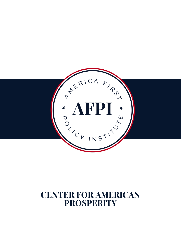

### **CENTER FOR AMERICAN PROSPERITY**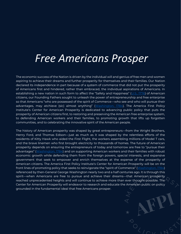## *Free Americans Prosper*

The economic success of the Nation is driven by the individual will and genius of free men and women aspiring to achieve their dreams and further prosperity for themselves and their families. Our Nation declared its independence in part because of a system of commerce that did not put the prosperity of Americans first and hindered, rather than embraced, the individual aspirations of Americans. In establishing a new nation in such form to affect the "Safety and Happiness" ([U.S., 1776\)](https://www.archives.gov/founding-docs/declaration-transcript) of American citizens, our Founding Fathers sought to unleash the power of entrepreneurship and free enterprise so that Americans "who are possessed of the spirit of Commerce—who see and who will pursue their advantages, may atchieve (sic) almost anything" ([Washington, 1784\)](https://founders.archives.gov/documents/Washington/04-02-02-0082#:~:text=A%20people%20however%2C%20who%20are,trade%20of%20that%20Western%20World.). The America First Policy Institute's Center for American Prosperity is dedicated to advancing public policy that puts the prosperity of American citizens first, to restoring and preserving the American free enterprise system, to defending American workers and their families, to promoting growth that lifts up forgotten communities, and to celebrating the innovative spirit of the American people.

The history of American prosperity was shaped by great entrepreneurs—from the Wright Brothers, Henry Ford, and Thomas Edison—just as much as it was shaped by the relentless efforts of the residents of Kitty Hawk who aided the First Flight, the workers assembling millions of Model T cars, and the brave linemen who first brought electricity to thousands of homes. The future of American prosperity depends on ensuring the entrepreneurs of today and tomorrow are free to "pursue their advantages" ([Washington, 1784\)](https://founders.archives.gov/documents/Washington/04-02-02-0082#:~:text=A%20people%20however%2C%20who%20are,trade%20of%20that%20Western%20World.) and on supporting American workers and their families with robust economic growth while defending them from the foreign powers, special interests, and expansive government that seek to empower and enrich themselves at the expense of the prosperity of American citizens. The America First Policy Institute's Center for American Prosperity will be on the front lines of promoting policy that seeks to reinvigorate the "spirit of Commerce" ([Washington, 1784\)](https://founders.archives.gov/documents/Washington/04-02-02-0082#:~:text=A%20people%20however%2C%20who%20are,trade%20of%20that%20Western%20World.) referenced by then-General George Washington nearly two and a half centuries ago. It is through this spirit—when Americans are free to pursue and achieve their dreams—that American prosperity reached unprecedented heights and will continue to achieve more than ever thought possible. The Center for American Prosperity will endeavor to research and educate the American public on policy grounded in the fundamental ideal that free Americans prosper.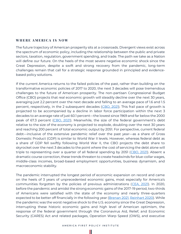#### WHERE AMERICA IS NOW

The future trajectory of American prosperity sits at a crossroads. Divergent views exist across the spectrum of economic policy, including the relationship between the public and private sectors, taxation, regulation, government spending, and trade. The path we take as a Nation will define our future. On the heels of the most severe negative economic shock since the Great Depression, despite a swift and strong recovery from the pandemic, long-term challenges remain that call for a strategic response grounded in principled and evidencebased policy solutions.

If the current America returns to the failed policies of the past, rather than building on the transformative economic policies of 2017 to 2020, the next 3 decades will pose tremendous challenges to the future of American prosperity. The non-partisan Congressional Budget Office (CBO) projects that real economic growth will steadily decline over the next 30 years, averaging just 2.2 percent over the next decade and falling to an average pace of 1.6 and 1.5 percent, respectively, in the 2 subsequent decades [\(CBO, 2021\)](https://www.cbo.gov/system/files/2021-03/56977-LTBO-2021.pdf). This frail pace of growth is projected to be accompanied by a decline in labor force participation within the next 3 decades to an average rate of just 60.1 percent—the lowest since 1969 and far below the 2000 peak of 67.3 percent [\(CBO, 2021](https://www.cbo.gov/system/files/2021-03/56977-LTBO-2021.pdf)). Meanwhile, the size of the federal government's debt relative to the size of the economy is projected to explode, doubling over the next 30 years and reaching 200 percent of total economic output by 2051. For perspective, current federal debt—inclusive of the extensive pandemic relief over the past year—as a share of Gross Domestic Product (GDP) is similar to World War II levels. However, whereas federal debt as a share of GDP fell swiftly following World War II, the CBO projects the debt share to skyrocket over the next 3 decades to the point where the cost of servicing the debt alone will triple to representing over a quarter of all federal spending by 2051 [\(CBO, 2021\)](https://www.cbo.gov/system/files/2021-03/56977-LTBO-2021.pdf). Absent a dramatic course correction, these trends threaten to create headwinds for blue-collar wages, middle-class incomes, broad-based employment opportunities, business dynamism, and macroeconomic stability.

The pandemic interrupted the longest period of economic expansion on record and came on the heels of 3 years of unprecedented economic gains, most especially for America's communities forgotten by the policies of previous administrations [\(CEA, 2021\)](https://trumpwhitehouse.archives.gov/wp-content/uploads/2021/01/Economic-Report-of-the-President-Jan2021.pdf). In 2020, before the pandemic and amidst the strong economic gains of the 2017-19 period, two-thirds of Americans were satisfied with the state of the economy and nearly three-quarters expected to be better off financially in the following year [\(Brenan 2021,](https://news.gallup.com/poll/329363/satisfaction-five-key-societal-issues-plummets.aspx) [Reinhart 2020\)](https://news.gallup.com/poll/284264/record-high-optimism-personal-finances.aspx). While the pandemic was the worst negative shock to the U.S. economy since the Great Depression, interrupting these historic economic gains and high level of American optimism, the response of the federal government through the Coronavirus Aid, Relief, and Economic Security (CARES) Act and related packages, Operation Warp Speed (OWS), and executive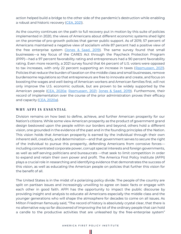action helped build a bridge to the other side of the pandemic's destruction while enabling a robust and historic recovery [\(CEA, 2021\)](https://trumpwhitehouse.archives.gov/wp-content/uploads/2021/01/Economic-Report-of-the-President-Jan2021.pdf).

As the country continues on the path to full recovery put in motion by this suite of policies implemented in 2020, the views of Americans about different economic systems shed light on the promise of pro-growth policies that garner public support. As of 2019, 57 percent of Americans maintained a negative view of socialism while 87 percent had a positive view of the free enterprise system [\(Jones & Saad, 2019\)](https://news.gallup.com/poll/268295/support-government-inches-not-socialism.aspx). The same survey found that small businesses—a key focus of the CARES Act through the Paycheck Protection Program (PPP)—had a 97 percent favorability rating and entrepreneurs had a 90 percent favorability rating. Even more recently, a 2021 survey found that 64 percent of U.S. voters were opposed to tax increases, with only 22 percent supporting an increase in taxes [\(Rasmussen, 2021\)](https://www.rasmussenreports.com/public_content/business/taxes/nearly_two_thirds_oppose_higher_taxes). Policies that reduce the burden of taxation on the middle class and small businesses, remove burdensome regulations so that entrepreneurs are free to innovate and create, and focus on boosting the wages and well-being of American workers and American families first, will not only improve the U.S. economic outlook, but are proven to be widely supported by the American people [\(CEA, 2020a;](https://trumpwhitehouse.archives.gov/wp-content/uploads/2020/02/2020-Economic-Report-of-the-President-WHCEA.pdf) [Rasmussen, 2021;](https://www.rasmussenreports.com/public_content/business/taxes/nearly_two_thirds_oppose_higher_taxes) [Jones & Saad, 2019\)](https://news.gallup.com/poll/268295/support-government-inches-not-socialism.aspx). Furthermore, their record of implementation over the course of the prior administration proves their efficacy and capacity [\(CEA, 2020a\)](https://trumpwhitehouse.archives.gov/wp-content/uploads/2020/02/2020-Economic-Report-of-the-President-WHCEA.pdf).

#### WHY AFPI IS ESSENTIAL

Division remains on how best to define, achieve, and further American prosperity for our Nation's citizens. While some view American prosperity as the product of government grand design bestowed upon the people within our borders and beyond, others hold a different vision, one grounded in the evidence of the past and in the founding principles of the Nation. This vision holds that American prosperity is earned by the individual through their own inherent skill, creativity, and determination—and that government serves to secure the right of the individual to pursue this prosperity, defending Americans from corrosive forces including concentrated corporate power, corrupt special interests and foreign governments, as well as self-serving politicians and bureaucrats —that seek to limit competition in order to expand and retain their own power and profit. The America First Policy Institute (AFPI) plays a crucial role in researching and identifying evidence that demonstrates the success of this vision, as well as educating the American people on policies that further this vision for the benefit of all.

The United States is in the midst of a polarizing policy divide. The people of the country are split on partisan issues and increasingly unwilling to agree on basic facts or engage with each other in good faith. AFPI has the opportunity to impact the public discourse by providing insight and analysis to educate all Americans especially the middle class and the younger generations who will shape the atmosphere for decades to come on all issues. As Milton Friedman famously said, "The record of history is absolutely crystal clear, that there is no alternative way so far discovered of improving the lot of the ordinary people that can hold a candle to the productive activities that are unleashed by the free-enterprise system"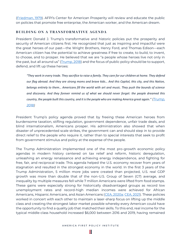[\(Friedman, 1979](https://www.wsj.com/articles/notable-quotable-milton-friedman-1434318595)). AFPI's Center for American Prosperity will review and educate the public on policies that promote free enterprise, the American worker, and the American dream.

#### BUILDING ON A TRANSFORMATIVE AGENDA

President Donald J. Trump's transformative and historic policies put the prosperity and security of American citizens first. He recognized that just as inspiring and impactful were the great heroes of our past—the Wright Brothers, Henry Ford, and Thomas Edison—each American citizen has the potential to achieve greatness if free to create, to build, to invent, to choose, and to prosper. He believed that we are "a people whose heroes live not only in the past, but all around us" ([Trump, 2018\)](https://www.govinfo.gov/content/pkg/DCPD-201800064/pdf/DCPD-201800064.pdf) and the focus of public policy should be to support, defend, and lift up these heroes:

*"They work in every trade. They sacrifice to raise a family. They care for our children at home. They defend our flag abroad. And they are strong moms and brave kids… And this Capitol, this city, and this Nation, belongs entirely to them… Americans fill the world with art and music. They push the bounds of science and discovery. And they forever remind us of what we should never forget: the people dreamed this country, the people built this country, and it is the people who are making America great again." [\(Trump,](https://www.govinfo.gov/content/pkg/DCPD-201800064/pdf/DCPD-201800064.pdf)  [2018\)](https://www.govinfo.gov/content/pkg/DCPD-201800064/pdf/DCPD-201800064.pdf)*

President Trump's policy agenda proved that by freeing these American heroes from burdensome taxation, stifling regulation, government dependence, unfair trade deals, and blind internationalism, Americans prosper. His administration also showed that when disaster of unprecedented scale strikes, the government can and should step in to provide direct relief to the people who require it, rather than to special interests that seek to profit from government stimulus and policy at the expense of the people.

The Trump Administration implemented one of the most pro-growth economic policy agendas in modern history centered on tax relief and reform, historic deregulation, unleashing an energy renaissance and achieving energy independence, and fighting for free, fair, and reciprocal trade. This agenda helped the U.S. economy recover from years of stagnation and resulted in the strongest economy in the world. In the first 3 years of the Trump Administration, 5 million more jobs were created than projected, U.S. real GDP growth was more than double that of the non-U.S. Group of Seven (G7) average, and inequality by multiple measures fell while 7 million Americans were lifted from food stamps. These gains were especially strong for historically disadvantaged groups as record low unemployment rates and record-high median incomes were achieved for African Americans, Hispanic Americans, and Asian Americans [\(CEA, 2020a;](https://trumpwhitehouse.archives.gov/wp-content/uploads/2020/02/2020-Economic-Report-of-the-President-WHCEA.pdf) [CEA, 2021\)](https://trumpwhitehouse.archives.gov/wp-content/uploads/2021/01/Economic-Report-of-the-President-Jan2021.pdf). These policies worked in concert with each other to maintain a laser-sharp focus on lifting up the middle class and creating the strongest labor market possible whereby every American could have the opportunity to find a quality job that matched their skills. To this end, real income for the typical middle-class household increased \$6,000 between 2016 and 2019, having remained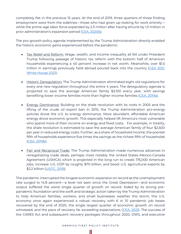completely flat in the previous 15 years. At the end of 2019, three quarters of those finding employment were from the sidelines—those who had given up looking for work entirely while the prime-age labor force expanded by 2.3 million after having shrunk by 1.5 million in prior administration's expansion period ([CEA, 2020b](https://trumpwhitehouse.archives.gov/articles/the-trump-economy-benefits-historically-disadvantaged-americans/)).

The pro-growth policy agenda implemented by the Trump Administration directly enabled the historic economic gains experienced before the pandemic:

- Tax Relief and Reform: Wage, wealth, and income inequality all fell under President Trump following passage of historic tax reform with the bottom half of American households experiencing a 40 percent increase in net worth. Meanwhile, over \$1.5 trillion in earnings previously held abroad poured back into the country [\(CEA 2021,](https://trumpwhitehouse.archives.gov/wp-content/uploads/2021/01/Economic-Report-of-the-President-Jan2021.pdf) [White House 2021\)](https://trumpwhitehouse.archives.gov/trump-administration-accomplishments/).
- Historic Deregulation: The Trump Administration eliminated eight old regulations for every one new regulation throughout the entire 4 years. The deregulatory agenda is projected to save the average American family \$3,100 every year, with savings benefiting lower-income families more than higher-income families [\(CEA, 2019a\)](https://trumpwhitehouse.archives.gov/wp-content/uploads/2019/06/The-Economic-Effects-of-Federal-Deregulation-Interim-Report.pdf).
- Energy Dominance: Building on the shale revolution with its roots in 2005 and the lifting of the crude oil export ban in 2015, the Trump Administration pro-energy policies drove the U.S. to energy dominance. More abundant, affordable American energy drove economic growth. This especially helped lift America's most vulnerable who spend more of their income on energy and fixed costs. For example, in totality, the shale revolution is estimated to save the average American family of four \$2,500 per year in reduced energy costs. Further, as a share of household income, the poorest fifth of households experience five times the savings as the richest fifth of households [\(CEA, 2019b\)](https://trumpwhitehouse.archives.gov/wp-content/uploads/2019/10/The-Value-of-U.S.-Energy-Innovation-and-Policies-Supporting-the-Shale-Revolution.pdf).
- Fair and Reciprocal Trade: The Trump Administration made numerous advances in renegotiating trade deals, perhaps most notably the United States-Mexico-Canada Agreement (USMCA) which is projected in the long run to create 176,000 American jobs, increase U.S. GDP by roughly \$70 billion, and boost U.S. agricultural exports by \$2.2 billion [\(USITC, 2019\)](https://www.usitc.gov/publications/332/pub4889.pdf).

The pandemic interrupted the longest economic expansion on record as the unemployment rate surged to 14.8 percent—a level not seen since the Great Depression—and economic output suffered the worst single quarter of growth on record. Aided by its strong prepandemic foundation and the swift and strategic action taken by the Trump Administration to help American families, workers, and small businesses weather the storm, the U.S. economy once again experienced a robust recovery with 6 in 10 pandemic job losses recovered by the end of 2020, the single largest quarter of economic growth on record witnessed, and the pace of recovery far exceeding expectations [\(CEA, 2021\)](https://trumpwhitehouse.archives.gov/wp-content/uploads/2021/01/Economic-Report-of-the-President-Jan2021.pdf). The success of the CARES Act and subsequent recovery packages throughout 2020, OWS, and executive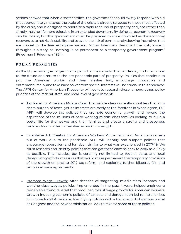actions showed that when disaster strikes, the government should swiftly respond with aid that appropriately matches the scale of the crisis, is directly targeted to those most affected by the crisis, and is designed to prioritize a rapid rebound of prosperity and jobs rather than simply making life more tolerable in an extended downturn. By doing so, economic recovery can be robust, but the government must be prepared to scale down aid as the economy recovers as to not risk instability and to avoid the risk of permanently skewing incentives that are crucial to the free enterprise system. Milton Friedman described this risk, evident throughout history, as "nothing is so permanent as a temporary government program" (Friedman & Friedman, 1984).

#### **P O L I C Y P R I O R I T I E S**

As the U.S. economy emerges from a period of crisis amidst the pandemic, it is time to look to the future and return to the pre-pandemic path of prosperity. Policies that continue to put the American worker and their families first, encourage innovation and entrepreneurship, and take back power from special interests will be crucial in this endeavor. The AFPI Center for American Prosperity will work to research these, among other, policy priorities at the federal, state, and local level of government:

- Tax Relief for America's Middle Class: The middle class currently shoulders the lion's share burden of taxes, yet its interests are rarely at the forefront in Washington, DC. AFPI will develop tax policies that promote economic growth and reward the aspirations of the millions of hard-working middle-class families looking to build a better life for themselves and their families and create a strong and prosperous middle class in order to maintain economic strength.
- Incentivize Job Creation for American Workers: While millions of Americans remain out of work due to the pandemic, AFPI will identify and support policies that encourage robust demand for labor, similar to what was experienced in 2017-19. We must research and identify policies that can get these citizens back to work as quickly as possible. This includes, but is certainly not limited to, federal, state, and local deregulatory efforts, measures that would make permanent the temporary provisions of the growth-enhancing 2017 tax reform, and exploring further bilateral, fair, and reciprocal trade agreements.
- Promote Wage Growth: After decades of stagnating middle-class incomes and working-class wages, policies implemented in the past 4 years helped engineer a remarkable trend reversal that produced robust wage growth for American workers. Growth-inducing economic policies of tax cuts and deregulation led to historic rises in income for all Americans. Identifying policies with a track record of success is vital as Congress and the new administration look to reverse some of these policies.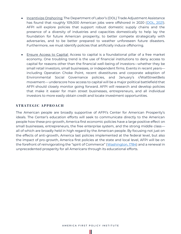- Incentivize Onshoring: The Department of Labor's (DOL) Trade Adjustment Assistance has found that roughly 109,000 American jobs were offshored in 2020 [\(DOL, 2021\)](https://www.dol.gov/agencies/eta/tradeact/data/petitions-determinations). AFPI will explore policies that support robust domestic supply chains and the presence of a diversity of industries and capacities domestically to help lay the foundation for future American prosperity, to better compete strategically with adversaries, and to be better prepared to weather unforeseen future disasters. Furthermore, we must identify policies that artificially induce offshoring.
- Ensure Access to Capital: Access to capital is a foundational pillar of a free market economy. One troubling trend is the use of financial institutions to deny access to capital for reasons other than the financial well-being of investors—whether they be small retail investors, small businesses, or independent firms. Events in recent years including Operation Choke Point, recent divestitures and corporate adoption of Environmental Social Governance policies, and January's r/WallStreetBets movement— underscore how access to capital will be a major political battlefield that AFPI should closely monitor going forward. AFPI will research and develop policies that make it easier for main street businesses, entrepreneurs, and all individual investors to more easily obtain credit and locate investment opportunities.

#### **S T R A T E G I C A P P R O A C H**

The American people are broadly supportive of AFPI's Center for American Prosperity's ideals. The Center's education efforts will seek to communicate directly to the American people how these pro-growth, America first economic policies have a large positive effect on small businesses, entrepreneurs, the free enterprise system, and the strong middle class all of which are broadly held in high regard by the American people. By focusing not just on the effects of anti-growth, America last policies implemented at the federal level, but also the impact of pro-growth, America first policies at the state and local level, AFPI will be on the forefront of reinvigorating the "spirit of Commerce" ([Washington, 1784\)](https://founders.archives.gov/documents/Washington/04-02-02-0082#:~:text=A%20people%20however%2C%20who%20are,trade%20of%20that%20Western%20World.) and a renewal in unprecedented prosperity for all Americans through its educational efforts.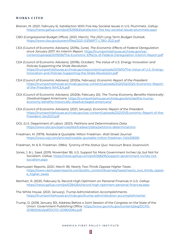#### **W O R K S C I T E D**

- Brenan, M. (2021, February 5). Satisfaction With Five Key Societal Issues in U.S. Plummets. *Gallup*. <https://news.gallup.com/poll/329363/satisfaction-five-key-societal-issues-plummets.aspx>
- CBO (Congressional Budget Office). (2021, March). *The 2021 Long-Term Budget Outlook*. <https://www.cbo.gov/system/files/2021-03/56977-LTBO-2021.pdf>
- CEA (Council of Economic Advisers). (2019a, June). *The Economic Effects of Federal Deregulation since January 2017: An Interim Report*. [https://trumpwhitehouse.archives.gov/wp](https://trumpwhitehouse.archives.gov/wp-content/uploads/2019/06/The-Economic-Effects-of-Federal-Deregulation-Interim-Report.pdf)[content/uploads/2019/06/The-Economic-Effects-of-Federal-Deregulation-Interim-Report.pdf](https://trumpwhitehouse.archives.gov/wp-content/uploads/2019/06/The-Economic-Effects-of-Federal-Deregulation-Interim-Report.pdf)
- CEA (Council of Economic Advisers). (2019b, October). *The Value of U.S. Energy Innovation and Policies Supporting the Shale Revolution*. [https://trumpwhitehouse.archives.gov/wpcontent/uploads/2019/10/The-Value-of-U.S.-Energy-](https://trumpwhitehouse.archives.gov/wpcontent/uploads/2019/10/The-Value-of-U.S.-Energy-Innovation-and-Policies-Supporting-the-Shale-Revolution.pdf)[Innovation-and-Policies-Supporting-the-Shale-Revolution.pdf](https://trumpwhitehouse.archives.gov/wpcontent/uploads/2019/10/The-Value-of-U.S.-Energy-Innovation-and-Policies-Supporting-the-Shale-Revolution.pdf)
- CEA (Council of Economic Advisers). (2020a, February). *Economic Report of the President*. [https://trumpwhitehouse.archives.gov/wp-content/uploads/2020/02/2020-Economic-Report](https://trumpwhitehouse.archives.gov/wp-content/uploads/2020/02/2020-Economic-Report-of-the-President-WHCEA.pdf)[of-the-President-WHCEA.pdf](https://trumpwhitehouse.archives.gov/wp-content/uploads/2020/02/2020-Economic-Report-of-the-President-WHCEA.pdf)
- CEA (Council of Economic Advisers). (2020b, February 20). *The Trump Economy Benefits Historically-Disadvantaged Americans.* [https://trumpwhitehouse.archives.gov/articles/the-trump](https://trumpwhitehouse.archives.gov/articles/the-trump-economy-benefits-historically-disadvantaged-americans/)[economy-benefits-historically-disadvantaged-americans/](https://trumpwhitehouse.archives.gov/articles/the-trump-economy-benefits-historically-disadvantaged-americans/)
- CEA (Council of Economic Advisers). (2021, January). *Economic Report of the President.* [https://trumpwhitehouse.archives.gov/wp-content/uploads/2021/01/Economic-Report-of-the-](https://trumpwhitehouse.archives.gov/wp-content/uploads/2021/01/Economic-Report-of-the-President-Jan2021.pdf)[President-Jan2021.pdf](https://trumpwhitehouse.archives.gov/wp-content/uploads/2021/01/Economic-Report-of-the-President-Jan2021.pdf)
- DOL (U.S. Department of Labor). (2021). *Petitions and Determinations Data*. <https://www.dol.gov/agencies/eta/tradeact/data/petitions-determinations>
- Friedman, M. (1979). Notable & Quotable: Milton Friedman. *Wall Street Journal*. <https://www.wsj.com/articles/notable-quotable-milton-friedman-1434318595>
- Friedman, M. & R. Friedman. (1984). *Tyranny of the Status Quo*. Harcourt Brace Jovanovich.
- Jones, J. & L. Saad. (2019, November 18). U.S. Support for More Government Inches Up, but Not for Socialism. *Gallup*. [https://news.gallup.com/poll/268295/support-government-inches-not](https://news.gallup.com/poll/268295/support-government-inches-not-socialism.aspx)[socialism.aspx](https://news.gallup.com/poll/268295/support-government-inches-not-socialism.aspx)
- Rasmussen Reports. (2021, March 18). *Nearly Two-Thirds Oppose Higher Taxes*. [https://www.rasmussenreports.com/public\\_content/business/taxes/nearly\\_two\\_thirds\\_oppos](https://www.rasmussenreports.com/public_content/business/taxes/nearly_two_thirds_oppose_higher_taxes) [e\\_higher\\_taxes](https://www.rasmussenreports.com/public_content/business/taxes/nearly_two_thirds_oppose_higher_taxes)
- Reinhart, R. (2020, February 5). Record-High Optimism on Personal Finances in U.S. *Gallup*. <https://news.gallup.com/poll/284264/record-high-optimism-personal-finances.aspx>
- The White House. (2021, January). *Trump Administration Accomplishments*. <https://trumpwhitehouse.archives.gov/trump-administration-accomplishments/>
- Trump, D. (2018, January 30). Address Before a Joint Session of the Congress on the State of the Union. *Government Publishing Office*. [https://www.govinfo.gov/content/pkg/DCPD-](https://www.govinfo.gov/content/pkg/DCPD-201800064/pdf/DCPD-201800064.pdf)[201800064/pdf/DCPD-201800064.pdf](https://www.govinfo.gov/content/pkg/DCPD-201800064/pdf/DCPD-201800064.pdf)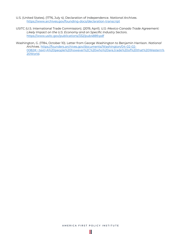- U.S. (United States). (1776, July 4). Declaration of Independence. *National Archives*. <https://www.archives.gov/founding-docs/declaration-transcript>
- USITC (U.S. International Trade Commission). (2019, April). *U.S.-Mexico-Canada Trade Agreement: Likely Impact on the U.S. Economy and on Specific Industry Sectors*. <https://www.usitc.gov/publications/332/pub4889.pdf>
- Washington, G. (1784, October 10). Letter from George Washington to Benjamin Harrison. *National Archives*. [https://founders.archives.gov/documents/Washington/04-02-02-](https://founders.archives.gov/documents/Washington/04-02-02-0082#:~:text=A%20people%20however%2C%20who%20are,trade%20of%20that%20Western%20World) [0082#:~:text=A%20people%20however%2C%20who%20are,trade%20of%20that%20Western%](https://founders.archives.gov/documents/Washington/04-02-02-0082#:~:text=A%20people%20however%2C%20who%20are,trade%20of%20that%20Western%20World) [20World.](https://founders.archives.gov/documents/Washington/04-02-02-0082#:~:text=A%20people%20however%2C%20who%20are,trade%20of%20that%20Western%20World)

Ш